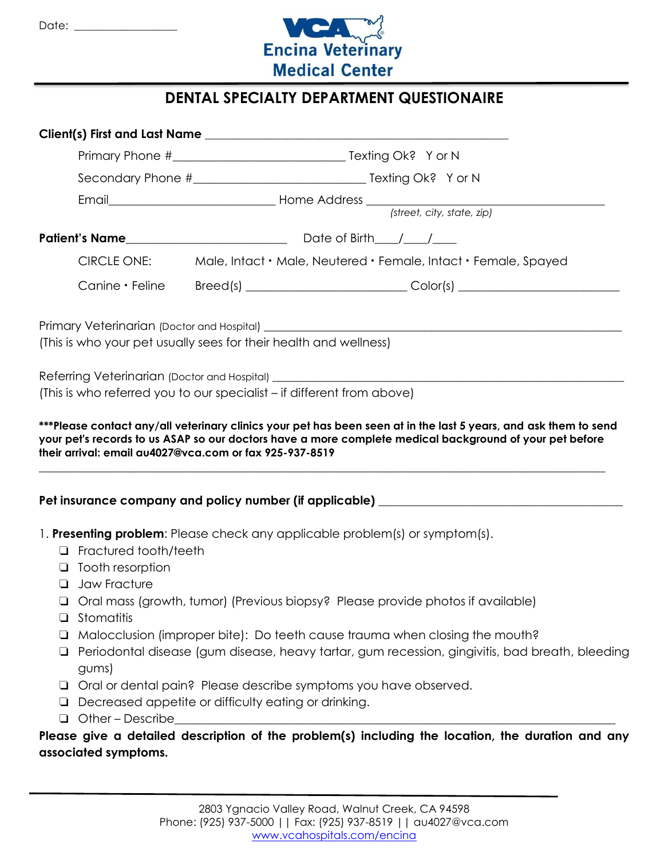

## **DENTAL SPECIALTY DEPARTMENT QUESTIONAIRE**

|        |                                                                                                                                                                                         |                                                                                                                                                                                                                               | Secondary Phone #__________________________________ Texting Ok? Yor N |                                                                                                   |  |
|--------|-----------------------------------------------------------------------------------------------------------------------------------------------------------------------------------------|-------------------------------------------------------------------------------------------------------------------------------------------------------------------------------------------------------------------------------|-----------------------------------------------------------------------|---------------------------------------------------------------------------------------------------|--|
|        |                                                                                                                                                                                         | Email Email Email Email Email Email Email Email Email Email Email Email Email Email Email Email Email Email Email Email Email Email Email Email Email Email Email Email Email Email Email Email Email Email Email Email Email |                                                                       |                                                                                                   |  |
|        |                                                                                                                                                                                         |                                                                                                                                                                                                                               |                                                                       |                                                                                                   |  |
|        |                                                                                                                                                                                         |                                                                                                                                                                                                                               |                                                                       |                                                                                                   |  |
|        | <b>CIRCLE ONE:</b>                                                                                                                                                                      |                                                                                                                                                                                                                               |                                                                       | Male, Intact • Male, Neutered • Female, Intact • Female, Spayed                                   |  |
|        |                                                                                                                                                                                         |                                                                                                                                                                                                                               |                                                                       | Canine • Feline Breed(s) ___________________________Color(s) ___________________                  |  |
|        |                                                                                                                                                                                         |                                                                                                                                                                                                                               |                                                                       |                                                                                                   |  |
|        |                                                                                                                                                                                         | (This is who your pet usually sees for their health and wellness)                                                                                                                                                             |                                                                       |                                                                                                   |  |
|        |                                                                                                                                                                                         |                                                                                                                                                                                                                               |                                                                       |                                                                                                   |  |
|        | Referring Veterinarian (Doctor and Hospital) ___________________________________<br>(This is who referred you to our specialist – if different from above)                              |                                                                                                                                                                                                                               |                                                                       |                                                                                                   |  |
|        |                                                                                                                                                                                         |                                                                                                                                                                                                                               |                                                                       | Pet insurance company and policy number (if applicable) ________________________                  |  |
|        |                                                                                                                                                                                         |                                                                                                                                                                                                                               |                                                                       |                                                                                                   |  |
| □      | 1. Presenting problem: Please check any applicable problem(s) or symptom(s).<br>Fractured tooth/teeth                                                                                   |                                                                                                                                                                                                                               |                                                                       |                                                                                                   |  |
|        | $\Box$ Tooth resorption                                                                                                                                                                 |                                                                                                                                                                                                                               |                                                                       |                                                                                                   |  |
| $\Box$ | <b>Jaw Fracture</b>                                                                                                                                                                     |                                                                                                                                                                                                                               |                                                                       |                                                                                                   |  |
|        | □ Oral mass (growth, tumor) (Previous biopsy? Please provide photos if available)                                                                                                       |                                                                                                                                                                                                                               |                                                                       |                                                                                                   |  |
| □      | Stomatitis                                                                                                                                                                              |                                                                                                                                                                                                                               |                                                                       |                                                                                                   |  |
| ⊔<br>⊔ | Malocclusion (improper bite): Do teeth cause trauma when closing the mouth?<br>Periodontal disease (gum disease, heavy tartar, gum recession, gingivitis, bad breath, bleeding<br>gums) |                                                                                                                                                                                                                               |                                                                       |                                                                                                   |  |
| ⊔      |                                                                                                                                                                                         | Oral or dental pain? Please describe symptoms you have observed.                                                                                                                                                              |                                                                       |                                                                                                   |  |
| □      | Decreased appetite or difficulty eating or drinking.                                                                                                                                    |                                                                                                                                                                                                                               |                                                                       |                                                                                                   |  |
| $\Box$ | Other - Describe                                                                                                                                                                        |                                                                                                                                                                                                                               |                                                                       |                                                                                                   |  |
|        |                                                                                                                                                                                         |                                                                                                                                                                                                                               |                                                                       | Please give a detailed description of the problem(s) including the location, the duration and any |  |
|        | associated symptoms.                                                                                                                                                                    |                                                                                                                                                                                                                               |                                                                       |                                                                                                   |  |